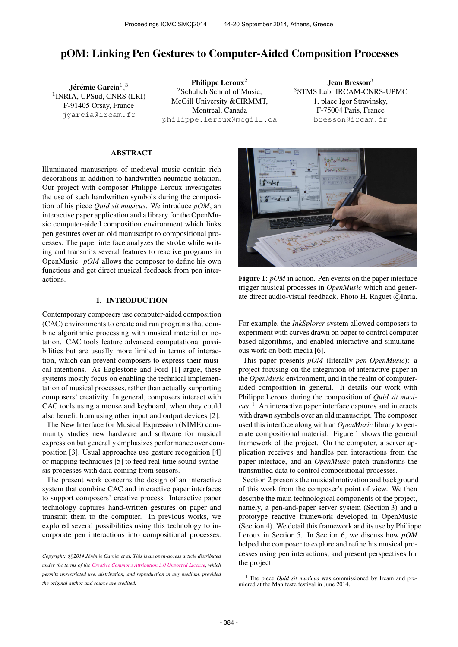# pOM: Linking Pen Gestures to Computer-Aided Composition Processes

Jérémie Garcia $^1,^3$ 1 INRIA, UPSud, CNRS (LRI) F-91405 Orsay, France [jgarcia@ircam.fr](mailto:jgarcia@ircam.fr)

Philippe Leroux<sup>2</sup> <sup>2</sup>Schulich School of Music, McGill University &CIRMMT, Montreal, Canada [philippe.leroux@mcgill.ca](mailto:philippe.leroux@mcgill.ca)

Jean Bresson<sup>3</sup> <sup>3</sup>STMS Lab: IRCAM-CNRS-UPMC 1, place Igor Stravinsky, F-75004 Paris, France [bresson@ircam.fr](mailto:bresson@ircam.fr)

## ABSTRACT

Illuminated manuscripts of medieval music contain rich decorations in addition to handwritten neumatic notation. Our project with composer Philippe Leroux investigates the use of such handwritten symbols during the composition of his piece *Quid sit musicus*. We introduce *pOM*, an interactive paper application and a library for the OpenMusic computer-aided composition environment which links pen gestures over an old manuscript to compositional processes. The paper interface analyzes the stroke while writing and transmits several features to reactive programs in OpenMusic. *pOM* allows the composer to define his own functions and get direct musical feedback from pen interactions.

## 1. INTRODUCTION

Contemporary composers use computer-aided composition (CAC) environments to create and run programs that combine algorithmic processing with musical material or notation. CAC tools feature advanced computational possibilities but are usually more limited in terms of interaction, which can prevent composers to express their musical intentions. As Eaglestone and Ford [1] argue, these systems mostly focus on enabling the technical implementation of musical processes, rather than actually supporting composers' creativity. In general, composers interact with CAC tools using a mouse and keyboard, when they could also benefit from using other input and output devices [2].

The New Interface for Musical Expression (NIME) community studies new hardware and software for musical expression but generally emphasizes performance over composition [3]. Usual approaches use gesture recognition [4] or mapping techniques [5] to feed real-time sound synthesis processes with data coming from sensors.

The present work concerns the design of an interactive system that combine CAC and interactive paper interfaces to support composers' creative process. Interactive paper technology captures hand-written gestures on paper and transmit them to the computer. In previous works, we explored several possibilities using this technology to incorporate pen interactions into compositional processes.



Figure 1: *pOM* in action. Pen events on the paper interface trigger musical processes in *OpenMusic* which and generate direct audio-visual feedback. Photo H. Raguet ©Inria.

For example, the *InkSplorer* system allowed composers to experiment with curves drawn on paper to control computerbased algorithms, and enabled interactive and simultaneous work on both media [6].

This paper presents *pOM* (literally *pen-OpenMusic*): a project focusing on the integration of interactive paper in the *OpenMusic* environment, and in the realm of computeraided composition in general. It details our work with Philippe Leroux during the composition of *Quid sit musicus*. <sup>1</sup> An interactive paper interface captures and interacts with drawn symbols over an old manuscript. The composer used this interface along with an *OpenMusic* library to generate compositional material. Figure 1 shows the general framework of the project. On the computer, a server application receives and handles pen interactions from the paper interface, and an *OpenMusic* patch transforms the transmitted data to control compositional processes.

Section 2 presents the musical motivation and background of this work from the composer's point of view. We then describe the main technological components of the project, namely, a pen-and-paper server system (Section 3) and a prototype reactive framework developed in OpenMusic (Section 4). We detail this framework and its use by Philippe Leroux in Section 5. In Section 6, we discuss how *pOM* helped the composer to explore and refine his musical processes using pen interactions, and present perspectives for the project.

Copyright:  $\bigcirc$ 2014 Jérémie Garcia et al. This is an open-access article distributed *under the terms of the [Creative Commons Attribution 3.0 Unported License,](http://creativecommons.org/licenses/by/3.0/) which permits unrestricted use, distribution, and reproduction in any medium, provided the original author and source are credited.*

<sup>1</sup> The piece *Quid sit musicus* was commissioned by Ircam and premiered at the Manifeste festival in June 2014.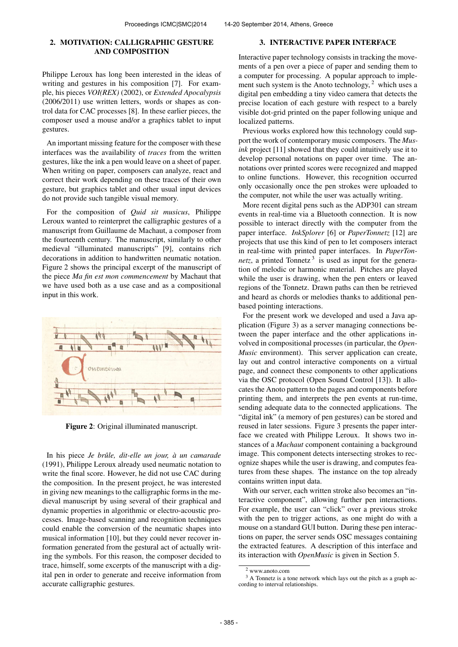# 2. MOTIVATION: CALLIGRAPHIC GESTURE AND COMPOSITION

Philippe Leroux has long been interested in the ideas of writing and gestures in his composition [7]. For example, his pieces *VOI(REX)* (2002), or *Extended Apocalypsis* (2006/2011) use written letters, words or shapes as control data for CAC processes [8]. In these earlier pieces, the composer used a mouse and/or a graphics tablet to input gestures.

An important missing feature for the composer with these interfaces was the availability of *traces* from the written gestures, like the ink a pen would leave on a sheet of paper. When writing on paper, composers can analyze, react and correct their work depending on these traces of their own gesture, but graphics tablet and other usual input devices do not provide such tangible visual memory.

For the composition of *Quid sit musicus*, Philippe Leroux wanted to reinterpret the calligraphic gestures of a manuscript from Guillaume de Machaut, a composer from the fourteenth century. The manuscript, similarly to other medieval "illuminated manuscripts" [9], contains rich decorations in addition to handwritten neumatic notation. Figure 2 shows the principal excerpt of the manuscript of the piece *Ma fin est mon commencement* by Machaut that we have used both as a use case and as a compositional input in this work.



Figure 2: Original illuminated manuscript.

In his piece *Je brûle, dit-elle un jour, à un camarade* (1991), Philippe Leroux already used neumatic notation to write the final score. However, he did not use CAC during the composition. In the present project, he was interested in giving new meanings to the calligraphic forms in the medieval manuscript by using several of their graphical and dynamic properties in algorithmic or electro-acoustic processes. Image-based scanning and recognition techniques could enable the conversion of the neumatic shapes into musical information [10], but they could never recover information generated from the gestural act of actually writing the symbols. For this reason, the composer decided to trace, himself, some excerpts of the manuscript with a digital pen in order to generate and receive information from accurate calligraphic gestures.

#### 3. INTERACTIVE PAPER INTERFACE

Interactive paper technology consists in tracking the movements of a pen over a piece of paper and sending them to a computer for processing. A popular approach to implement such system is the Anoto technology,  $2$  which uses a digital pen embedding a tiny video camera that detects the precise location of each gesture with respect to a barely visible dot-grid printed on the paper following unique and localized patterns.

Previous works explored how this technology could support the work of contemporary music composers. The *Musink* project [11] showed that they could intuitively use it to develop personal notations on paper over time. The annotations over printed scores were recognized and mapped to online functions. However, this recognition occurred only occasionally once the pen strokes were uploaded to the computer, not while the user was actually writing.

More recent digital pens such as the ADP301 can stream events in real-time via a Bluetooth connection. It is now possible to interact directly with the computer from the paper interface. *InkSplorer* [6] or *PaperTonnetz* [12] are projects that use this kind of pen to let composers interact in real-time with printed paper interfaces. In *PaperTonnetz*, a printed Tonnetz<sup>3</sup> is used as input for the generation of melodic or harmonic material. Pitches are played while the user is drawing, when the pen enters or leaved regions of the Tonnetz. Drawn paths can then be retrieved and heard as chords or melodies thanks to additional penbased pointing interactions.

For the present work we developed and used a Java application (Figure 3) as a server managing connections between the paper interface and the other applications involved in compositional processes (in particular, the *Open-Music* environment). This server application can create, lay out and control interactive components on a virtual page, and connect these components to other applications via the OSC protocol (Open Sound Control [13]). It allocates the Anoto pattern to the pages and components before printing them, and interprets the pen events at run-time, sending adequate data to the connected applications. The "digital ink" (a memory of pen gestures) can be stored and reused in later sessions. Figure 3 presents the paper interface we created with Philippe Leroux. It shows two instances of a *Machaut* component containing a background image. This component detects intersecting strokes to recognize shapes while the user is drawing, and computes features from these shapes. The instance on the top already contains written input data.

With our server, each written stroke also becomes an "interactive component", allowing further pen interactions. For example, the user can "click" over a previous stroke with the pen to trigger actions, as one might do with a mouse on a standard GUI button. During these pen interactions on paper, the server sends OSC messages containing the extracted features. A description of this interface and its interaction with *OpenMusic* is given in Section 5.

<sup>2</sup> www.anoto.com

 $3$  A Tonnetz is a tone network which lays out the pitch as a graph according to interval relationships.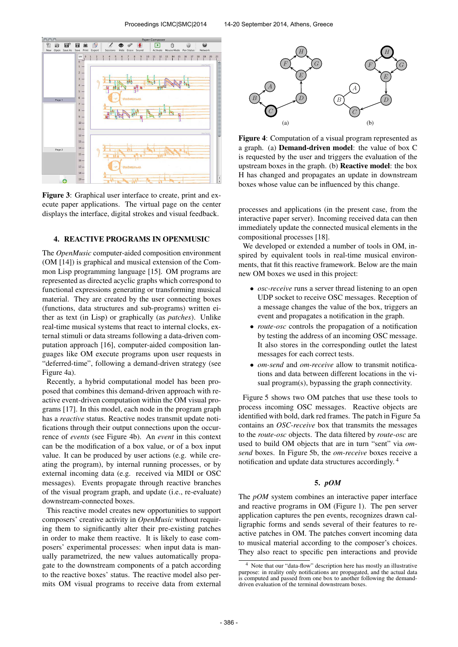

Figure 3: Graphical user interface to create, print and execute paper applications. The virtual page on the center displays the interface, digital strokes and visual feedback.

### 4. REACTIVE PROGRAMS IN OPENMUSIC

The *OpenMusic* computer-aided composition environment (OM [14]) is graphical and musical extension of the Common Lisp programming language [15]. OM programs are represented as directed acyclic graphs which correspond to functional expressions generating or transforming musical material. They are created by the user connecting boxes (functions, data structures and sub-programs) written either as text (in Lisp) or graphically (as *patches*). Unlike real-time musical systems that react to internal clocks, external stimuli or data streams following a data-driven computation approach [16], computer-aided composition languages like OM execute programs upon user requests in "deferred-time", following a demand-driven strategy (see Figure 4a).

Recently, a hybrid computational model has been proposed that combines this demand-driven approach with reactive event-driven computation within the OM visual programs [17]. In this model, each node in the program graph has a *reactive* status. Reactive nodes transmit update notifications through their output connections upon the occurrence of *events* (see Figure 4b). An *event* in this context can be the modification of a box value, or of a box input value. It can be produced by user actions (e.g. while creating the program), by internal running processes, or by external incoming data (e.g. received via MIDI or OSC messages). Events propagate through reactive branches of the visual program graph, and update (i.e., re-evaluate) downstream-connected boxes.

This reactive model creates new opportunities to support composers' creative activity in *OpenMusic* without requiring them to significantly alter their pre-existing patches in order to make them reactive. It is likely to ease composers' experimental processes: when input data is manually parametrized, the new values automatically propagate to the downstream components of a patch according to the reactive boxes' status. The reactive model also permits OM visual programs to receive data from external



Figure 4: Computation of a visual program represented as a graph. (a) Demand-driven model: the value of box C is requested by the user and triggers the evaluation of the upstream boxes in the graph. (b) Reactive model: the box H has changed and propagates an update in downstream boxes whose value can be influenced by this change.

processes and applications (in the present case, from the interactive paper server). Incoming received data can then immediately update the connected musical elements in the compositional processes [18].

We developed or extended a number of tools in OM, inspired by equivalent tools in real-time musical environments, that fit this reactive framework. Below are the main new OM boxes we used in this project:

- *osc-receive* runs a server thread listening to an open UDP socket to receive OSC messages. Reception of a message changes the value of the box, triggers an event and propagates a notification in the graph.
- *route-osc* controls the propagation of a notification by testing the address of an incoming OSC message. It also stores in the corresponding outlet the latest messages for each correct tests.
- *om-send* and *om-receive* allow to transmit notifications and data between different locations in the visual program(s), bypassing the graph connectivity.

Figure 5 shows two OM patches that use these tools to process incoming OSC messages. Reactive objects are identified with bold, dark red frames. The patch in Figure 5a contains an *OSC-receive* box that transmits the messages to the *route-osc* objects. The data filtered by *route-osc* are used to build OM objects that are in turn "sent" via *omsend* boxes. In Figure 5b, the *om-receive* boxes receive a notification and update data structures accordingly. <sup>4</sup>

## 5. *pOM*

The *pOM* system combines an interactive paper interface and reactive programs in OM (Figure 1). The pen server application captures the pen events, recognizes drawn calligraphic forms and sends several of their features to reactive patches in OM. The patches convert incoming data to musical material according to the composer's choices. They also react to specific pen interactions and provide

<sup>4</sup> Note that our "data-flow" description here has mostly an illustrative purpose: in reality only notifications are propagated, and the actual data is computed and passed from one box to another following the demanddriven evaluation of the terminal downstream boxes.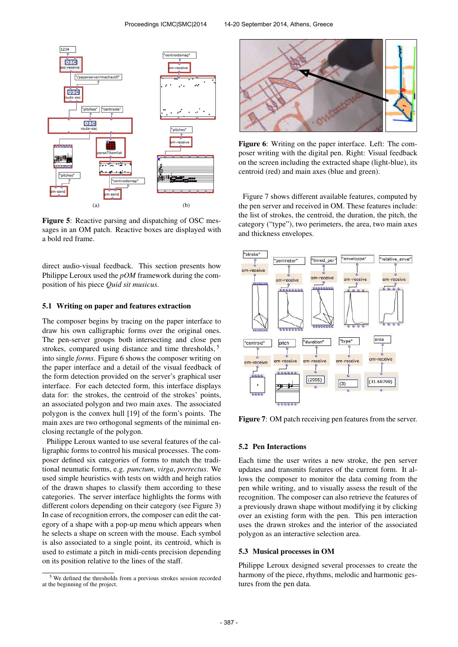

Figure 5: Reactive parsing and dispatching of OSC messages in an OM patch. Reactive boxes are displayed with a bold red frame.

direct audio-visual feedback. This section presents how Philippe Leroux used the *pOM* framework during the composition of his piece *Quid sit musicus*.

## 5.1 Writing on paper and features extraction

The composer begins by tracing on the paper interface to draw his own calligraphic forms over the original ones. The pen-server groups both intersecting and close pen strokes, compared using distance and time thresholds, <sup>5</sup> into single *forms*. Figure 6 shows the composer writing on the paper interface and a detail of the visual feedback of the form detection provided on the server's graphical user interface. For each detected form, this interface displays data for: the strokes, the centroid of the strokes' points, an associated polygon and two main axes. The associated polygon is the convex hull [19] of the form's points. The main axes are two orthogonal segments of the minimal enclosing rectangle of the polygon.

Philippe Leroux wanted to use several features of the calligraphic forms to control his musical processes. The composer defined six categories of forms to match the traditional neumatic forms, e.g. *punctum*, *virga*, *porrectus*. We used simple heuristics with tests on width and heigh ratios of the drawn shapes to classify them according to these categories. The server interface highlights the forms with different colors depending on their category (see Figure 3) In case of recognition errors, the composer can edit the category of a shape with a pop-up menu which appears when he selects a shape on screen with the mouse. Each symbol is also associated to a single point, its centroid, which is used to estimate a pitch in midi-cents precision depending on its position relative to the lines of the staff.



Figure 6: Writing on the paper interface. Left: The composer writing with the digital pen. Right: Visual feedback on the screen including the extracted shape (light-blue), its centroid (red) and main axes (blue and green).

Figure 7 shows different available features, computed by the pen server and received in OM. These features include: the list of strokes, the centroid, the duration, the pitch, the category ("type"), two perimeters, the area, two main axes and thickness envelopes.



Figure 7: OM patch receiving pen features from the server.

#### 5.2 Pen Interactions

Each time the user writes a new stroke, the pen server updates and transmits features of the current form. It allows the composer to monitor the data coming from the pen while writing, and to visually assess the result of the recognition. The composer can also retrieve the features of a previously drawn shape without modifying it by clicking over an existing form with the pen. This pen interaction uses the drawn strokes and the interior of the associated polygon as an interactive selection area.

#### 5.3 Musical processes in OM

Philippe Leroux designed several processes to create the harmony of the piece, rhythms, melodic and harmonic gestures from the pen data.

<sup>5</sup> We defined the thresholds from a previous strokes session recorded at the beginning of the project.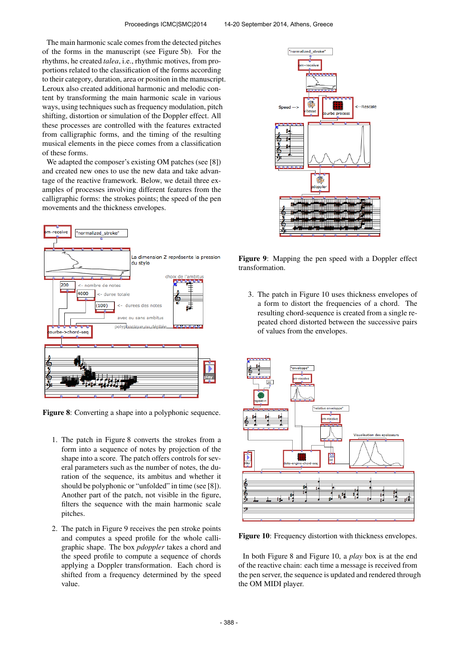The main harmonic scale comes from the detected pitches of the forms in the manuscript (see Figure 5b). For the rhythms, he created *talea*, i.e., rhythmic motives, from proportions related to the classification of the forms according to their category, duration, area or position in the manuscript. Leroux also created additional harmonic and melodic content by transforming the main harmonic scale in various ways, using techniques such as frequency modulation, pitch shifting, distortion or simulation of the Doppler effect. All these processes are controlled with the features extracted from calligraphic forms, and the timing of the resulting musical elements in the piece comes from a classification of these forms.

We adapted the composer's existing OM patches (see [8]) and created new ones to use the new data and take advantage of the reactive framework. Below, we detail three examples of processes involving different features from the calligraphic forms: the strokes points; the speed of the pen movements and the thickness envelopes.



Figure 8: Converting a shape into a polyphonic sequence.

- 1. The patch in Figure 8 converts the strokes from a form into a sequence of notes by projection of the shape into a score. The patch offers controls for several parameters such as the number of notes, the duration of the sequence, its ambitus and whether it should be polyphonic or "unfolded" in time (see [8]). Another part of the patch, not visible in the figure, filters the sequence with the main harmonic scale pitches.
- 2. The patch in Figure 9 receives the pen stroke points and computes a speed profile for the whole calligraphic shape. The box *pdoppler* takes a chord and the speed profile to compute a sequence of chords applying a Doppler transformation. Each chord is shifted from a frequency determined by the speed value.



Figure 9: Mapping the pen speed with a Doppler effect transformation.

3. The patch in Figure 10 uses thickness envelopes of a form to distort the frequencies of a chord. The resulting chord-sequence is created from a single repeated chord distorted between the successive pairs of values from the envelopes.



Figure 10: Frequency distortion with thickness envelopes.

In both Figure 8 and Figure 10, a *play* box is at the end of the reactive chain: each time a message is received from the pen server, the sequence is updated and rendered through the OM MIDI player.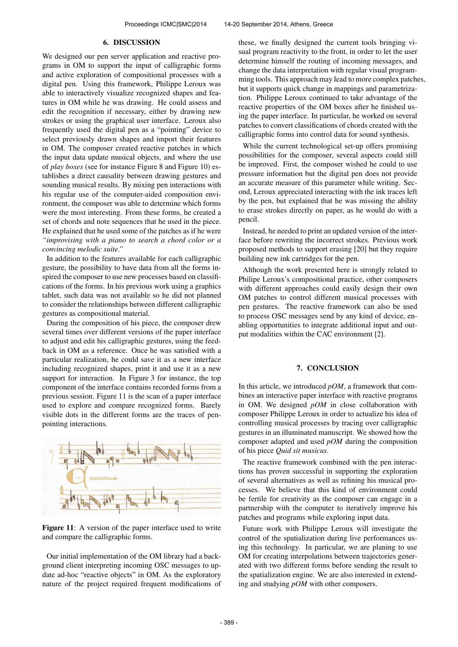#### 6. DISCUSSION

We designed our pen server application and reactive programs in OM to support the input of calligraphic forms and active exploration of compositional processes with a digital pen. Using this framework, Philippe Leroux was able to interactively visualize recognized shapes and features in OM while he was drawing. He could assess and edit the recognition if necessary, either by drawing new strokes or using the graphical user interface. Leroux also frequently used the digital pen as a "pointing" device to select previously drawn shapes and import their features in OM. The composer created reactive patches in which the input data update musical objects, and where the use of *play boxes* (see for instance Figure 8 and Figure 10) establishes a direct causality between drawing gestures and sounding musical results. By mixing pen interactions with his regular use of the computer-aided composition environment, the composer was able to determine which forms were the most interesting. From these forms, he created a set of chords and note sequences that he used in the piece. He explained that he used some of the patches as if he were *"improvising with a piano to search a chord color or a convincing melodic suite."*

In addition to the features available for each calligraphic gesture, the possibility to have data from all the forms inspired the composer to use new processes based on classifications of the forms. In his previous work using a graphics tablet, such data was not available so he did not planned to consider the relationships between different calligraphic gestures as compositional material.

During the composition of his piece, the composer drew several times over different versions of the paper interface to adjust and edit his calligraphic gestures, using the feedback in OM as a reference. Once he was satisfied with a particular realization, he could save it as a new interface including recognized shapes, print it and use it as a new support for interaction. In Figure 3 for instance, the top component of the interface contains recorded forms from a previous session. Figure 11 is the scan of a paper interface used to explore and compare recognized forms. Barely visible dots in the different forms are the traces of penpointing interactions.



Figure 11: A version of the paper interface used to write and compare the calligraphic forms.

Our initial implementation of the OM library had a background client interpreting incoming OSC messages to update ad-hoc "reactive objects" in OM. As the exploratory nature of the project required frequent modifications of these, we finally designed the current tools bringing visual program reactivity to the front, in order to let the user determine himself the routing of incoming messages, and change the data interpretation with regular visual programming tools. This approach may lead to more complex patches, but it supports quick change in mappings and parametrization. Philippe Leroux continued to take advantage of the reactive properties of the OM boxes after he finished using the paper interface. In particular, he worked on several patches to convert classifications of chords created with the calligraphic forms into control data for sound synthesis.

While the current technological set-up offers promising possibilities for the composer, several aspects could still be improved. First, the composer wished he could to use pressure information but the digital pen does not provide an accurate measure of this parameter while writing. Second, Leroux appreciated interacting with the ink traces left by the pen, but explained that he was missing the ability to erase strokes directly on paper, as he would do with a pencil.

Instead, he needed to print an updated version of the interface before rewriting the incorrect strokes. Previous work proposed methods to support erasing [20] but they require building new ink cartridges for the pen.

Although the work presented here is strongly related to Philipe Leroux's compositional practice, other composers with different approaches could easily design their own OM patches to control different musical processes with pen gestures. The reactive framework can also be used to process OSC messages send by any kind of device, enabling opportunities to integrate additional input and output modalities within the CAC environment [2].

#### 7. CONCLUSION

In this article, we introduced *pOM*, a framework that combines an interactive paper interface with reactive programs in OM. We designed *pOM* in close collaboration with composer Philippe Leroux in order to actualize his idea of controlling musical processes by tracing over calligraphic gestures in an illuminated manuscript. We showed how the composer adapted and used *pOM* during the composition of his piece *Quid sit musicus*.

The reactive framework combined with the pen interactions has proven successful in supporting the exploration of several alternatives as well as refining his musical processes. We believe that this kind of environment could be fertile for creativity as the composer can engage in a partnership with the computer to iteratively improve his patches and programs while exploring input data.

Future work with Philippe Leroux will investigate the control of the spatialization during live performances using this technology. In particular, we are planing to use OM for creating interpolations between trajectories generated with two different forms before sending the result to the spatialization engine. We are also interested in extending and studying *pOM* with other composers.